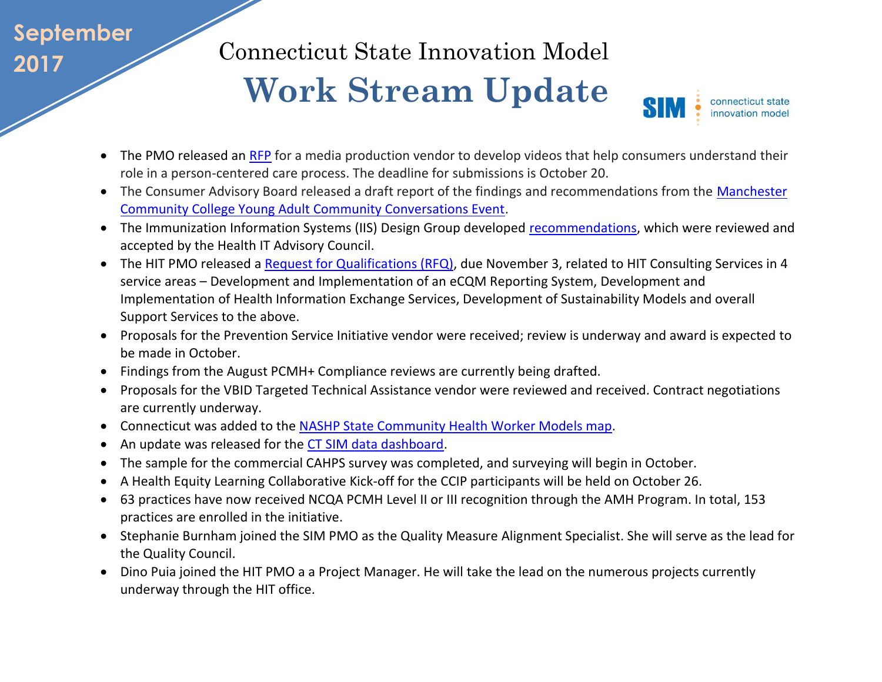## **September 2017**

Connecticut State Innovation Model

## **Work Stream Update**

connecticut state innovation model

SIN

- The PMO released an [RFP](http://www.biznet.ct.gov/SCP_Search/BidDetail.aspx?CID=44368&mc_cid=d8aa855539&mc_eid=795d916cac) for a media production vendor to develop videos that help consumers understand their role in a person-centered care process. The deadline for submissions is October 20.
- The Consumer Advisory Board released a draft report of the findings and recommendations from the Manchester [Community College Young Adult Community Conversations Event.](http://www.healthreform.ct.gov/ohri/lib/ohri/work_groups/consumer_advisory/2017/09-12/report_mcc_young_adult_event_20161014.pdf)
- The Immunization Information Systems (IIS) Design Group developed [recommendations,](http://portal.ct.gov/-/media/Office-of-the-Lt-Governor/Health-IT-Advisory-Council/IIS/IIS_-Final_Report_20170814.pdf?la=en) which were reviewed and accepted by the Health IT Advisory Council.
- The HIT PMO released a [Request for Qualifications \(RFQ\),](http://www.biznet.ct.gov/SCP_Search/BidDetail.aspx?CID=44497) due November 3, related to HIT Consulting Services in 4 service areas – Development and Implementation of an eCQM Reporting System, Development and Implementation of Health Information Exchange Services, Development of Sustainability Models and overall Support Services to the above.
- Proposals for the Prevention Service Initiative vendor were received; review is underway and award is expected to be made in October.
- Findings from the August PCMH+ Compliance reviews are currently being drafted.
- Proposals for the VBID Targeted Technical Assistance vendor were reviewed and received. Contract negotiations are currently underway.
- Connecticut was added to the [NASHP State Community Health Worker Models map.](http://nashp.org/state-community-health-worker-models/)
- An update was released for the [CT SIM data dashboard.](http://www.publichealth.uconn.edu/sim_dash.html?ohriNav=|)
- The sample for the commercial CAHPS survey was completed, and surveying will begin in October.
- A Health Equity Learning Collaborative Kick-off for the CCIP participants will be held on October 26.
- 63 practices have now received NCQA PCMH Level II or III recognition through the AMH Program. In total, 153 practices are enrolled in the initiative.
- Stephanie Burnham joined the SIM PMO as the Quality Measure Alignment Specialist. She will serve as the lead for the Quality Council.
- Dino Puia joined the HIT PMO a a Project Manager. He will take the lead on the numerous projects currently underway through the HIT office.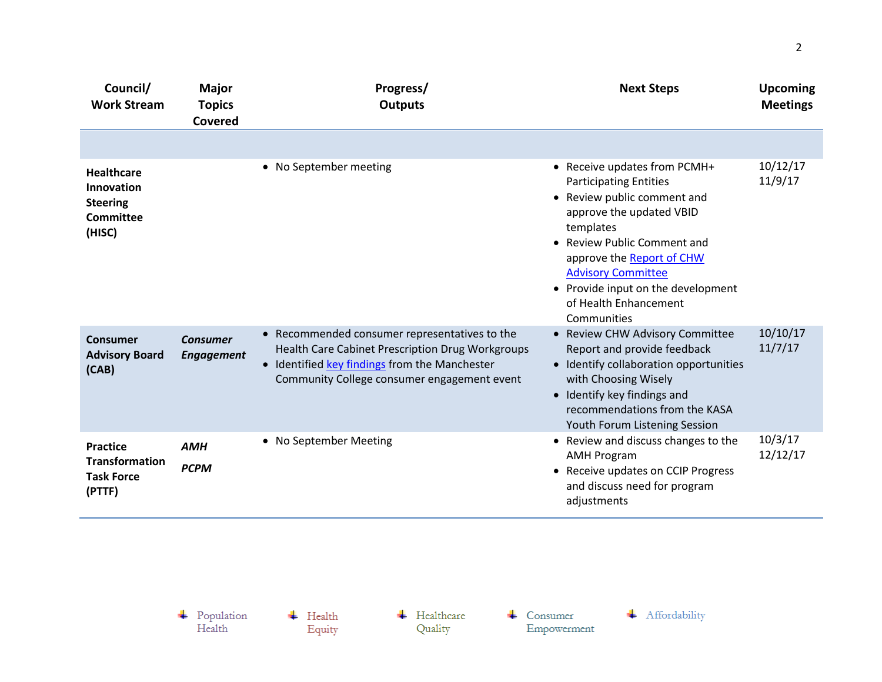| Council/<br><b>Work Stream</b>                                                   | <b>Major</b><br><b>Topics</b><br><b>Covered</b> | Progress/<br><b>Outputs</b>                                                                                                                                                                                         | <b>Next Steps</b>                                                                                                                                                                                                                                                                                            | <b>Upcoming</b><br><b>Meetings</b> |
|----------------------------------------------------------------------------------|-------------------------------------------------|---------------------------------------------------------------------------------------------------------------------------------------------------------------------------------------------------------------------|--------------------------------------------------------------------------------------------------------------------------------------------------------------------------------------------------------------------------------------------------------------------------------------------------------------|------------------------------------|
|                                                                                  |                                                 |                                                                                                                                                                                                                     |                                                                                                                                                                                                                                                                                                              |                                    |
| <b>Healthcare</b><br><b>Innovation</b><br><b>Steering</b><br>Committee<br>(HISC) |                                                 | • No September meeting                                                                                                                                                                                              | • Receive updates from PCMH+<br><b>Participating Entities</b><br>• Review public comment and<br>approve the updated VBID<br>templates<br>• Review Public Comment and<br>approve the Report of CHW<br><b>Advisory Committee</b><br>• Provide input on the development<br>of Health Enhancement<br>Communities | 10/12/17<br>11/9/17                |
| Consumer<br><b>Advisory Board</b><br>(CAB)                                       | <b>Consumer</b><br><b>Engagement</b>            | • Recommended consumer representatives to the<br><b>Health Care Cabinet Prescription Drug Workgroups</b><br>Identified key findings from the Manchester<br>$\bullet$<br>Community College consumer engagement event | • Review CHW Advisory Committee<br>Report and provide feedback<br>• Identify collaboration opportunities<br>with Choosing Wisely<br>• Identify key findings and<br>recommendations from the KASA<br>Youth Forum Listening Session                                                                            | 10/10/17<br>11/7/17                |
| <b>Practice</b><br><b>Transformation</b><br><b>Task Force</b><br>(PTTF)          | <b>AMH</b><br><b>PCPM</b>                       | • No September Meeting                                                                                                                                                                                              | • Review and discuss changes to the<br><b>AMH Program</b><br>• Receive updates on CCIP Progress<br>and discuss need for program<br>adjustments                                                                                                                                                               | 10/3/17<br>12/12/17                |

 $\begin{array}{c} \text{\textcolor{red}{\textbf{+}}} & \text{Population} \\ \text{Health} \end{array}$ 

 $\overline{\phantom{a}}$  Health Equity  $\leftarrow$  Healthcare Quality

 $\leftarrow$  Consumer Empowerment

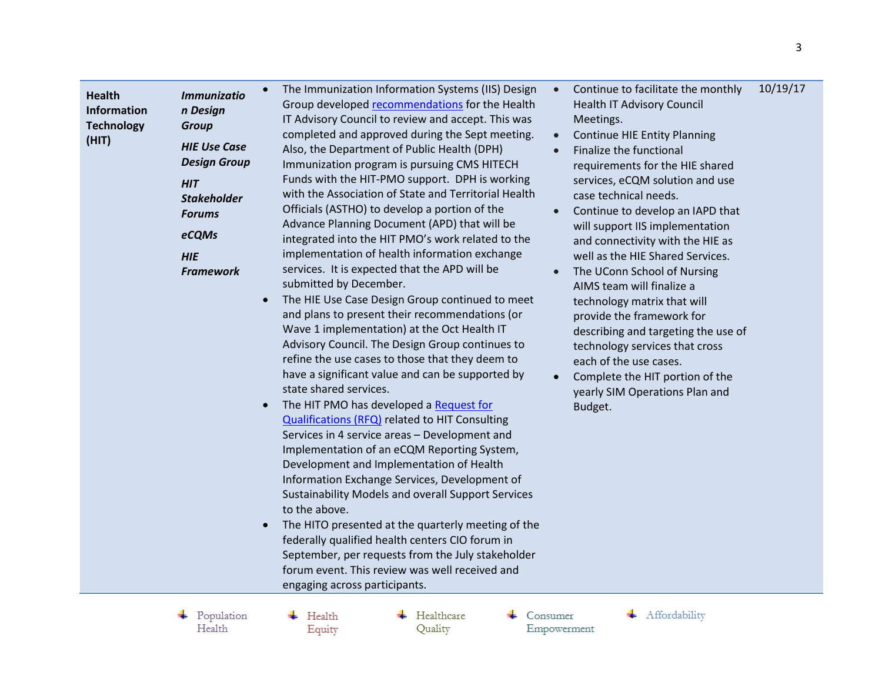| submitted by December.<br>The HIE Use Case Design Group continued to meet<br>and plans to present their recommendations (or<br>Wave 1 implementation) at the Oct Health IT<br>Advisory Council. The Design Group continues to<br>refine the use cases to those that they deem to<br>have a significant value and can be supported by<br>state shared services.<br>The HIT PMO has developed a Request for<br>$\bullet$<br><b>Qualifications (RFQ)</b> related to HIT Consulting<br>Services in 4 service areas - Development and<br>Implementation of an eCQM Reporting System,<br>Development and Implementation of Health<br>Information Exchange Services, Development of<br>Sustainability Models and overall Support Services<br>to the above.<br>The HITO presented at the quarterly meeting of the<br>federally qualified health centers CIO forum in<br>September, per requests from the July stakeholder<br>forum event. This review was well received and<br>engaging across participants. | 10/19/17<br>Continue to facilitate the monthly<br>$\bullet$<br><b>Health IT Advisory Council</b><br>Meetings.<br><b>Continue HIE Entity Planning</b><br>$\bullet$<br>Finalize the functional<br>$\bullet$<br>requirements for the HIE shared<br>services, eCQM solution and use<br>case technical needs.<br>Continue to develop an IAPD that<br>$\bullet$<br>will support IIS implementation<br>and connectivity with the HIE as<br>well as the HIE Shared Services.<br>The UConn School of Nursing<br>$\bullet$<br>AIMS team will finalize a<br>technology matrix that will<br>provide the framework for<br>describing and targeting the use of<br>technology services that cross<br>each of the use cases.<br>Complete the HIT portion of the<br>yearly SIM Operations Plan and<br>Budget. |  |
|------------------------------------------------------------------------------------------------------------------------------------------------------------------------------------------------------------------------------------------------------------------------------------------------------------------------------------------------------------------------------------------------------------------------------------------------------------------------------------------------------------------------------------------------------------------------------------------------------------------------------------------------------------------------------------------------------------------------------------------------------------------------------------------------------------------------------------------------------------------------------------------------------------------------------------------------------------------------------------------------------|----------------------------------------------------------------------------------------------------------------------------------------------------------------------------------------------------------------------------------------------------------------------------------------------------------------------------------------------------------------------------------------------------------------------------------------------------------------------------------------------------------------------------------------------------------------------------------------------------------------------------------------------------------------------------------------------------------------------------------------------------------------------------------------------|--|
|------------------------------------------------------------------------------------------------------------------------------------------------------------------------------------------------------------------------------------------------------------------------------------------------------------------------------------------------------------------------------------------------------------------------------------------------------------------------------------------------------------------------------------------------------------------------------------------------------------------------------------------------------------------------------------------------------------------------------------------------------------------------------------------------------------------------------------------------------------------------------------------------------------------------------------------------------------------------------------------------------|----------------------------------------------------------------------------------------------------------------------------------------------------------------------------------------------------------------------------------------------------------------------------------------------------------------------------------------------------------------------------------------------------------------------------------------------------------------------------------------------------------------------------------------------------------------------------------------------------------------------------------------------------------------------------------------------------------------------------------------------------------------------------------------------|--|

 $\begin{tabular}{c} \textbf{+} \quad Population \\ Health \end{tabular}$ 

 $\overline{\phantom{a}}$  Health Equity  $\leftarrow$  Healthcare Quality

 $\leftarrow$  Consumer Empowerment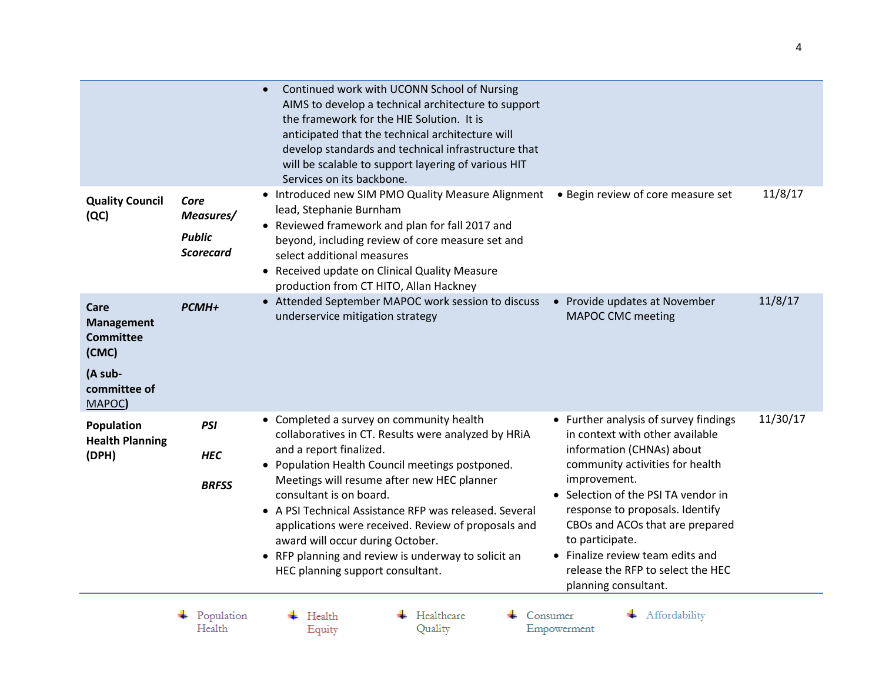|                                                                                             |                                                        | Continued work with UCONN School of Nursing<br>AIMS to develop a technical architecture to support<br>the framework for the HIE Solution. It is<br>anticipated that the technical architecture will<br>develop standards and technical infrastructure that<br>will be scalable to support layering of various HIT<br>Services on its backbone.                                                                                                                                                         |                                                                                                                                                                                                                                                                                                                                                                                           |          |
|---------------------------------------------------------------------------------------------|--------------------------------------------------------|--------------------------------------------------------------------------------------------------------------------------------------------------------------------------------------------------------------------------------------------------------------------------------------------------------------------------------------------------------------------------------------------------------------------------------------------------------------------------------------------------------|-------------------------------------------------------------------------------------------------------------------------------------------------------------------------------------------------------------------------------------------------------------------------------------------------------------------------------------------------------------------------------------------|----------|
| <b>Quality Council</b><br>(QC)                                                              | Core<br>Measures/<br><b>Public</b><br><b>Scorecard</b> | • Introduced new SIM PMO Quality Measure Alignment<br>lead, Stephanie Burnham<br>• Reviewed framework and plan for fall 2017 and<br>beyond, including review of core measure set and<br>select additional measures<br>• Received update on Clinical Quality Measure<br>production from CT HITO, Allan Hackney                                                                                                                                                                                          | • Begin review of core measure set                                                                                                                                                                                                                                                                                                                                                        | 11/8/17  |
| Care<br><b>Management</b><br><b>Committee</b><br>(CMC)<br>(A sub-<br>committee of<br>MAPOC) | <b>PCMH+</b>                                           | • Attended September MAPOC work session to discuss<br>underservice mitigation strategy                                                                                                                                                                                                                                                                                                                                                                                                                 | • Provide updates at November<br><b>MAPOC CMC meeting</b>                                                                                                                                                                                                                                                                                                                                 | 11/8/17  |
| <b>Population</b><br><b>Health Planning</b><br>(DPH)                                        | <b>PSI</b><br><b>HEC</b><br><b>BRFSS</b>               | • Completed a survey on community health<br>collaboratives in CT. Results were analyzed by HRiA<br>and a report finalized.<br>• Population Health Council meetings postponed.<br>Meetings will resume after new HEC planner<br>consultant is on board.<br>• A PSI Technical Assistance RFP was released. Several<br>applications were received. Review of proposals and<br>award will occur during October.<br>• RFP planning and review is underway to solicit an<br>HEC planning support consultant. | • Further analysis of survey findings<br>in context with other available<br>information (CHNAs) about<br>community activities for health<br>improvement.<br>• Selection of the PSI TA vendor in<br>response to proposals. Identify<br>CBOs and ACOs that are prepared<br>to participate.<br>• Finalize review team edits and<br>release the RFP to select the HEC<br>planning consultant. | 11/30/17 |
|                                                                                             | Population<br>Health                                   | Healthcare<br>Health<br>Quality<br>Equity                                                                                                                                                                                                                                                                                                                                                                                                                                                              | Affordability<br>Consumer<br>Empowerment                                                                                                                                                                                                                                                                                                                                                  |          |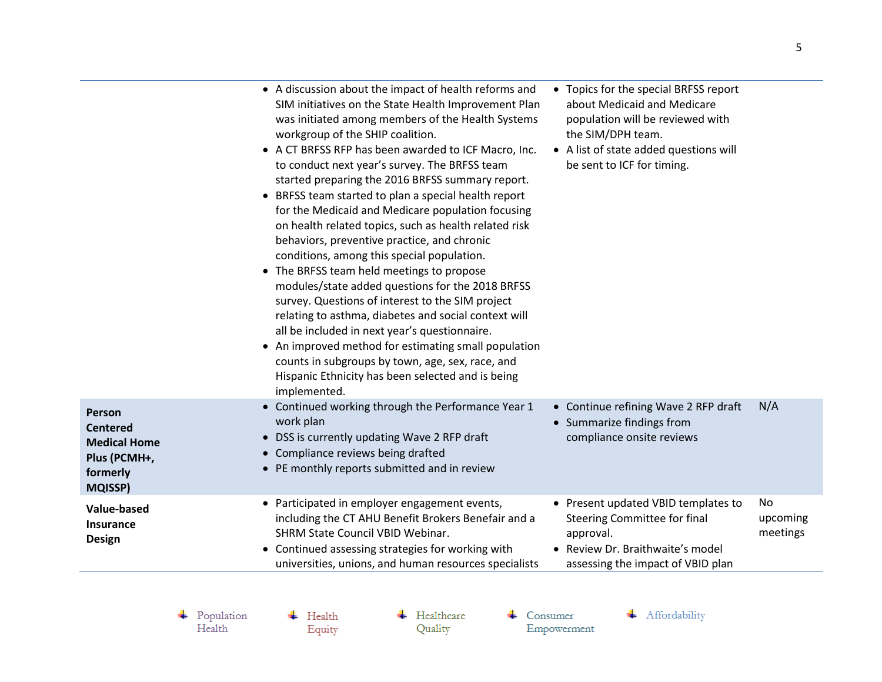| Person<br><b>Centered</b><br><b>Medical Home</b><br>Plus (PCMH+, | • A discussion about the impact of health reforms and<br>SIM initiatives on the State Health Improvement Plan<br>was initiated among members of the Health Systems<br>workgroup of the SHIP coalition.<br>• A CT BRFSS RFP has been awarded to ICF Macro, Inc.<br>to conduct next year's survey. The BRFSS team<br>started preparing the 2016 BRFSS summary report.<br>• BRFSS team started to plan a special health report<br>for the Medicaid and Medicare population focusing<br>on health related topics, such as health related risk<br>behaviors, preventive practice, and chronic<br>conditions, among this special population.<br>• The BRFSS team held meetings to propose<br>modules/state added questions for the 2018 BRFSS<br>survey. Questions of interest to the SIM project<br>relating to asthma, diabetes and social context will<br>all be included in next year's questionnaire.<br>• An improved method for estimating small population<br>counts in subgroups by town, age, sex, race, and<br>Hispanic Ethnicity has been selected and is being<br>implemented.<br>• Continued working through the Performance Year 1<br>work plan<br>• DSS is currently updating Wave 2 RFP draft<br>• Compliance reviews being drafted | • Topics for the special BRFSS report<br>about Medicaid and Medicare<br>population will be reviewed with<br>the SIM/DPH team.<br>• A list of state added questions will<br>be sent to ICF for timing.<br>• Continue refining Wave 2 RFP draft<br>• Summarize findings from<br>compliance onsite reviews | N/A                        |
|------------------------------------------------------------------|------------------------------------------------------------------------------------------------------------------------------------------------------------------------------------------------------------------------------------------------------------------------------------------------------------------------------------------------------------------------------------------------------------------------------------------------------------------------------------------------------------------------------------------------------------------------------------------------------------------------------------------------------------------------------------------------------------------------------------------------------------------------------------------------------------------------------------------------------------------------------------------------------------------------------------------------------------------------------------------------------------------------------------------------------------------------------------------------------------------------------------------------------------------------------------------------------------------------------------------------|---------------------------------------------------------------------------------------------------------------------------------------------------------------------------------------------------------------------------------------------------------------------------------------------------------|----------------------------|
| formerly<br><b>MQISSP)</b>                                       | • PE monthly reports submitted and in review                                                                                                                                                                                                                                                                                                                                                                                                                                                                                                                                                                                                                                                                                                                                                                                                                                                                                                                                                                                                                                                                                                                                                                                                   |                                                                                                                                                                                                                                                                                                         |                            |
| Value-based<br><b>Insurance</b><br><b>Design</b>                 | • Participated in employer engagement events,<br>including the CT AHU Benefit Brokers Benefair and a<br><b>SHRM State Council VBID Webinar.</b><br>• Continued assessing strategies for working with<br>universities, unions, and human resources specialists                                                                                                                                                                                                                                                                                                                                                                                                                                                                                                                                                                                                                                                                                                                                                                                                                                                                                                                                                                                  | Present updated VBID templates to<br><b>Steering Committee for final</b><br>approval.<br>• Review Dr. Braithwaite's model<br>assessing the impact of VBID plan                                                                                                                                          | No<br>upcoming<br>meetings |

 $\begin{tabular}{c} \textbf{4} \quad Population \\ Health \end{tabular}$ 

 $\leftarrow$  Health Equity  $\leftarrow$  Healthcare Quality

 $\leftarrow$  Consumer Empowerment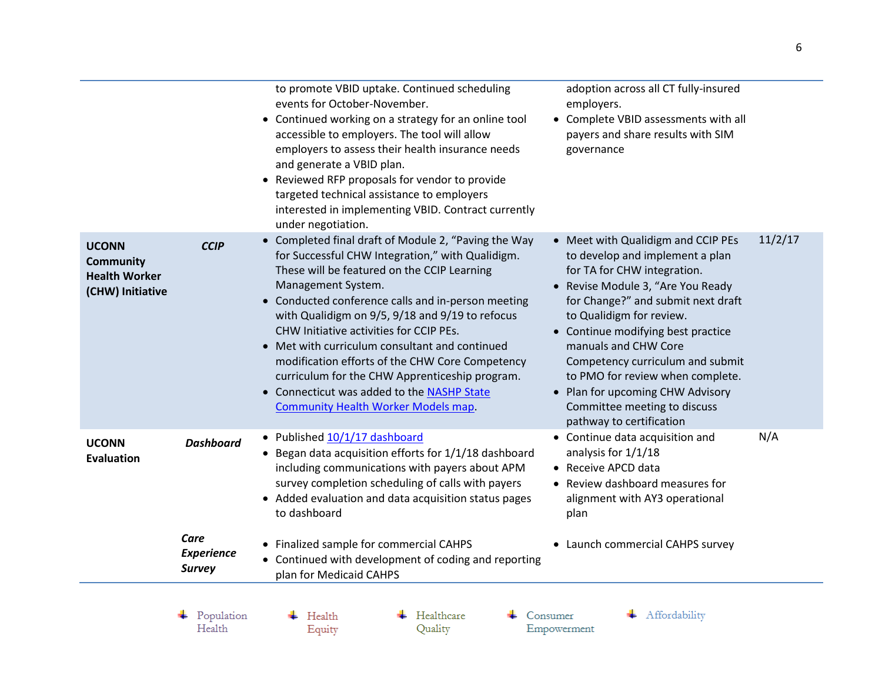|                                                                              |                                            | to promote VBID uptake. Continued scheduling<br>events for October-November.<br>• Continued working on a strategy for an online tool<br>accessible to employers. The tool will allow<br>employers to assess their health insurance needs<br>and generate a VBID plan.<br>• Reviewed RFP proposals for vendor to provide<br>targeted technical assistance to employers<br>interested in implementing VBID. Contract currently<br>under negotiation.                                                                                                                                   | adoption across all CT fully-insured<br>employers.<br>• Complete VBID assessments with all<br>payers and share results with SIM<br>governance                                                                                                                                                                                                                                                                                                   |         |
|------------------------------------------------------------------------------|--------------------------------------------|--------------------------------------------------------------------------------------------------------------------------------------------------------------------------------------------------------------------------------------------------------------------------------------------------------------------------------------------------------------------------------------------------------------------------------------------------------------------------------------------------------------------------------------------------------------------------------------|-------------------------------------------------------------------------------------------------------------------------------------------------------------------------------------------------------------------------------------------------------------------------------------------------------------------------------------------------------------------------------------------------------------------------------------------------|---------|
| <b>UCONN</b><br><b>Community</b><br><b>Health Worker</b><br>(CHW) Initiative | <b>CCIP</b>                                | • Completed final draft of Module 2, "Paving the Way<br>for Successful CHW Integration," with Qualidigm.<br>These will be featured on the CCIP Learning<br>Management System.<br>• Conducted conference calls and in-person meeting<br>with Qualidigm on 9/5, 9/18 and 9/19 to refocus<br>CHW Initiative activities for CCIP PEs.<br>• Met with curriculum consultant and continued<br>modification efforts of the CHW Core Competency<br>curriculum for the CHW Apprenticeship program.<br>• Connecticut was added to the NASHP State<br><b>Community Health Worker Models map.</b> | • Meet with Qualidigm and CCIP PEs<br>to develop and implement a plan<br>for TA for CHW integration.<br>Revise Module 3, "Are You Ready<br>for Change?" and submit next draft<br>to Qualidigm for review.<br>• Continue modifying best practice<br>manuals and CHW Core<br>Competency curriculum and submit<br>to PMO for review when complete.<br>• Plan for upcoming CHW Advisory<br>Committee meeting to discuss<br>pathway to certification | 11/2/17 |
| <b>UCONN</b><br><b>Evaluation</b>                                            | <b>Dashboard</b>                           | • Published 10/1/17 dashboard<br>• Began data acquisition efforts for 1/1/18 dashboard<br>including communications with payers about APM<br>survey completion scheduling of calls with payers<br>• Added evaluation and data acquisition status pages<br>to dashboard                                                                                                                                                                                                                                                                                                                | • Continue data acquisition and<br>analysis for 1/1/18<br>• Receive APCD data<br>• Review dashboard measures for<br>alignment with AY3 operational<br>plan                                                                                                                                                                                                                                                                                      | N/A     |
|                                                                              | Care<br><b>Experience</b><br><b>Survey</b> | • Finalized sample for commercial CAHPS<br>• Continued with development of coding and reporting<br>plan for Medicaid CAHPS                                                                                                                                                                                                                                                                                                                                                                                                                                                           | • Launch commercial CAHPS survey                                                                                                                                                                                                                                                                                                                                                                                                                |         |
|                                                                              | Population<br>Health                       | Healthcare<br>Health<br>Quality<br>Equity                                                                                                                                                                                                                                                                                                                                                                                                                                                                                                                                            | Affordability<br>Consumer<br>Empowerment                                                                                                                                                                                                                                                                                                                                                                                                        |         |

Equity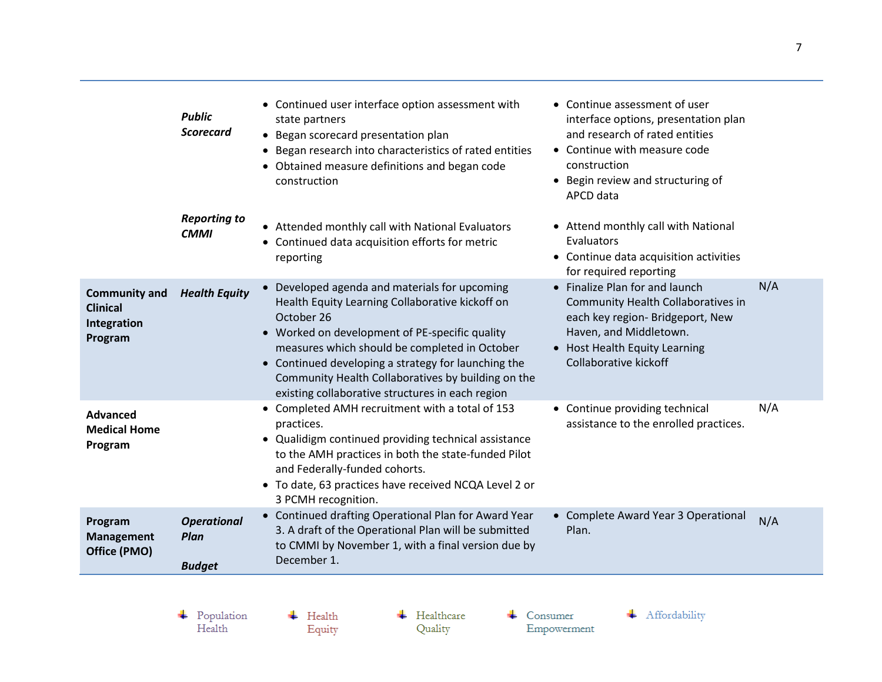|                                                                   | <b>Public</b><br><b>Scorecard</b>           | • Continued user interface option assessment with<br>state partners<br>• Began scorecard presentation plan<br>• Began research into characteristics of rated entities<br>• Obtained measure definitions and began code<br>construction                                                                                                                                             | • Continue assessment of user<br>interface options, presentation plan<br>and research of rated entities<br>• Continue with measure code<br>construction<br>• Begin review and structuring of<br>APCD data |     |
|-------------------------------------------------------------------|---------------------------------------------|------------------------------------------------------------------------------------------------------------------------------------------------------------------------------------------------------------------------------------------------------------------------------------------------------------------------------------------------------------------------------------|-----------------------------------------------------------------------------------------------------------------------------------------------------------------------------------------------------------|-----|
|                                                                   | <b>Reporting to</b><br><b>CMMI</b>          | • Attended monthly call with National Evaluators<br>• Continued data acquisition efforts for metric<br>reporting                                                                                                                                                                                                                                                                   | • Attend monthly call with National<br>Evaluators<br>• Continue data acquisition activities<br>for required reporting                                                                                     |     |
| <b>Community and</b><br><b>Clinical</b><br>Integration<br>Program | <b>Health Equity</b>                        | • Developed agenda and materials for upcoming<br>Health Equity Learning Collaborative kickoff on<br>October 26<br>• Worked on development of PE-specific quality<br>measures which should be completed in October<br>• Continued developing a strategy for launching the<br>Community Health Collaboratives by building on the<br>existing collaborative structures in each region | • Finalize Plan for and launch<br>Community Health Collaboratives in<br>each key region- Bridgeport, New<br>Haven, and Middletown.<br>• Host Health Equity Learning<br>Collaborative kickoff              | N/A |
| Advanced<br><b>Medical Home</b><br>Program                        |                                             | • Completed AMH recruitment with a total of 153<br>practices.<br>• Qualidigm continued providing technical assistance<br>to the AMH practices in both the state-funded Pilot<br>and Federally-funded cohorts.<br>• To date, 63 practices have received NCQA Level 2 or<br>3 PCMH recognition.                                                                                      | • Continue providing technical<br>assistance to the enrolled practices.                                                                                                                                   | N/A |
| Program<br><b>Management</b><br>Office (PMO)                      | <b>Operational</b><br>Plan<br><b>Budget</b> | • Continued drafting Operational Plan for Award Year<br>3. A draft of the Operational Plan will be submitted<br>to CMMI by November 1, with a final version due by<br>December 1.                                                                                                                                                                                                  | • Complete Award Year 3 Operational<br>Plan.                                                                                                                                                              | N/A |
|                                                                   |                                             |                                                                                                                                                                                                                                                                                                                                                                                    |                                                                                                                                                                                                           |     |

 $\begin{array}{c} \text{\textcolor{red}{\textbf{+}}} & \text{Population} \\ \text{Health} \end{array}$ 

 $\overline{\phantom{a}}$  Health Equity  $\leftarrow$  Healthcare Quality

 $\leftarrow$  Consumer Empowerment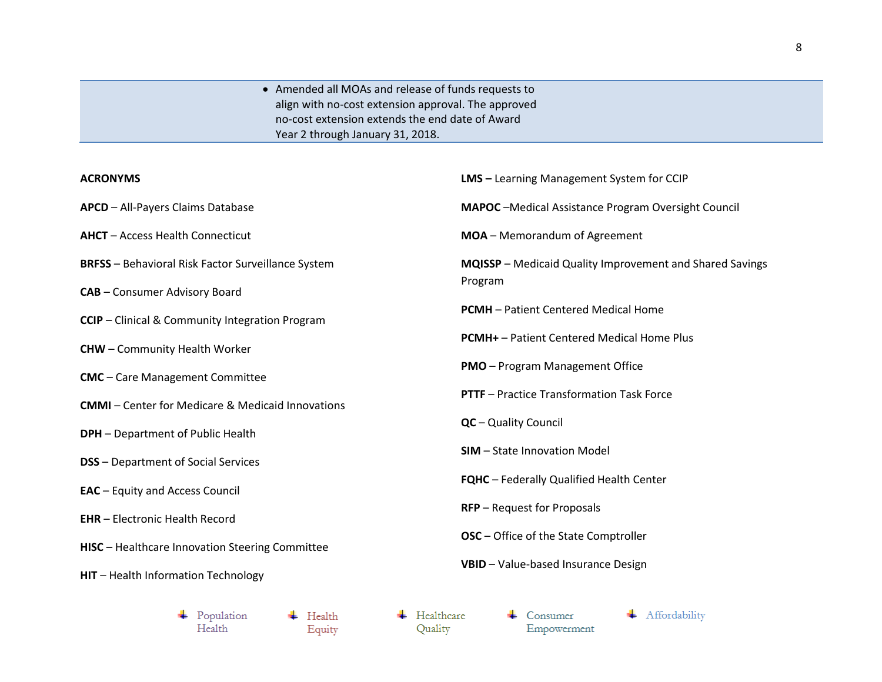Amended all MOAs and release of funds requests to align with no-cost extension approval. The approved no-cost extension extends the end date of Award Year 2 through January 31, 2018.

## **ACRONYMS**

| <b>ACRONYMS</b>                                            | <b>LMS</b> - Learning Management System for CCIP            |
|------------------------------------------------------------|-------------------------------------------------------------|
| APCD - All-Payers Claims Database                          | <b>MAPOC</b> - Medical Assistance Program Oversight Council |
| <b>AHCT</b> - Access Health Connecticut                    | MOA - Memorandum of Agreement                               |
| <b>BRFSS</b> - Behavioral Risk Factor Surveillance System  | MQISSP - Medicaid Quality Improvement and Shared Savings    |
| <b>CAB</b> - Consumer Advisory Board                       | Program                                                     |
| <b>CCIP</b> - Clinical & Community Integration Program     | <b>PCMH</b> - Patient Centered Medical Home                 |
| <b>CHW</b> - Community Health Worker                       | <b>PCMH+</b> – Patient Centered Medical Home Plus           |
| <b>CMC</b> - Care Management Committee                     | <b>PMO</b> - Program Management Office                      |
| <b>CMMI-Center for Medicare &amp; Medicaid Innovations</b> | <b>PTTF</b> – Practice Transformation Task Force            |
| <b>DPH</b> - Department of Public Health                   | QC - Quality Council                                        |
| <b>DSS</b> - Department of Social Services                 | <b>SIM</b> - State Innovation Model                         |
| <b>EAC</b> – Equity and Access Council                     | <b>FQHC</b> - Federally Qualified Health Center             |
| <b>EHR</b> - Electronic Health Record                      | <b>RFP</b> – Request for Proposals                          |
| HISC - Healthcare Innovation Steering Committee            | <b>OSC</b> – Office of the State Comptroller                |
| HIT - Health Information Technology                        | VBID - Value-based Insurance Design                         |

 $\leftarrow$  Health

Equity

 $\leftarrow$  Healthcare Quality

 $\leftarrow$  Consumer Empowerment